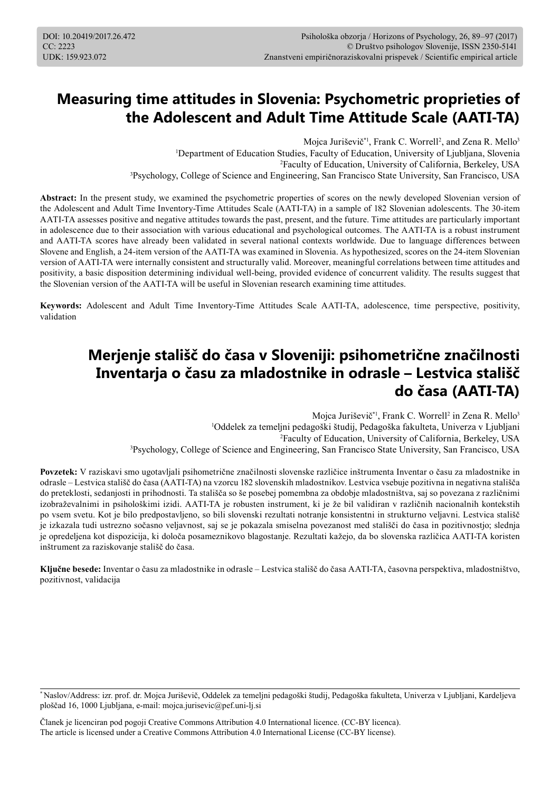# **Measuring time attitudes in Slovenia: Psychometric proprieties of the Adolescent and Adult Time Attitude Scale (AATI-TA)**

Mojca Juriševič<sup>\*1</sup>, Frank C. Worrell<sup>2</sup>, and Zena R. Mello<sup>3</sup> Department of Education Studies, Faculty of Education, University of Ljubljana, Slovenia Faculty of Education, University of California, Berkeley, USA Psychology, College of Science and Engineering, San Francisco State University, San Francisco, USA

Abstract: In the present study, we examined the psychometric properties of scores on the newly developed Slovenian version of the Adolescent and Adult Time Inventory-Time Attitudes Scale (AATI-TA) in a sample of 182 Slovenian adolescents. The 30-item AATI-TA assesses positive and negative attitudes towards the past, present, and the future. Time attitudes are particularly important in adolescence due to their association with various educational and psychological outcomes. The AATI-TA is a robust instrument and AATI-TA scores have already been validated in several national contexts worldwide. Due to language differences between Slovene and English, a 24-item version of the AATI-TA was examined in Slovenia. As hypothesized, scores on the 24-item Slovenian version of AATI-TA were internally consistent and structurally valid. Moreover, meaningful correlations between time attitudes and positivity, a basic disposition determining individual well-being, provided evidence of concurrent validity. The results suggest that the Slovenian version of the AATI-TA will be useful in Slovenian research examining time attitudes.

**Keywords:** Adolescent and Adult Time Inventory-Time Attitudes Scale AATI-TA, adolescence, time perspective, positivity, validation

# **Merjenje stališč do časa v Sloveniji: psihometrične značilnosti Inventarja o času za mladostnike in odrasle – Lestvica stališč do časa (AATI-TA)**

Mojca Juriševič<sup>\*1</sup>, Frank C. Worrell<sup>2</sup> in Zena R. Mello<sup>3</sup> Oddelek za temeljni pedagoški študij, Pedagoška fakulteta, Univerza v Ljubljani Faculty of Education, University of California, Berkeley, USA Psychology, College of Science and Engineering, San Francisco State University, San Francisco, USA

**Povzetek:** V raziskavi smo ugotavljali psihometrične značilnosti slovenske različice inštrumenta Inventar o času za mladostnike in odrasle – Lestvica stališč do časa (AATI-TA) na vzorcu 182 slovenskih mladostnikov. Lestvica vsebuje pozitivna in negativna stališča do preteklosti, sedanjosti in prihodnosti. Ta stališča so še posebej pomembna za obdobje mladostništva, saj so povezana z različnimi izobraževalnimi in psihološkimi izidi. AATI-TA je robusten instrument, ki je že bil validiran v različnih nacionalnih kontekstih po vsem svetu. Kot je bilo predpostavljeno, so bili slovenski rezultati notranje konsistentni in strukturno veljavni. Lestvica stališč je izkazala tudi ustrezno sočasno veljavnost, saj se je pokazala smiselna povezanost med stališči do časa in pozitivnostjo; slednja je opredeljena kot dispozicija, ki določa posameznikovo blagostanje. Rezultati kažejo, da bo slovenska različica AATI-TA koristen inštrument za raziskovanje stališč do časa.

**Ključne besede:** Inventar o času za mladostnike in odrasle – Lestvica stališč do časa AATI-TA, časovna perspektiva, mladostništvo, pozitivnost, validacija

Članek je licenciran pod pogoji Creative Commons Attribution 4.0 International licence. (CC-BY licenca). The article is licensed under a Creative Commons Attribution 4.0 International License (CC-BY license).

<sup>\*</sup> Naslov/Address: izr. prof. dr. Mojca Juriševič, Oddelek za temeljni pedagoški študij, Pedagoška fakulteta, Univerza v Ljubljani, Kardeljeva ploščad 16, 1000 Ljubljana, e-mail: mojca.jurisevic@pef.uni-lj.si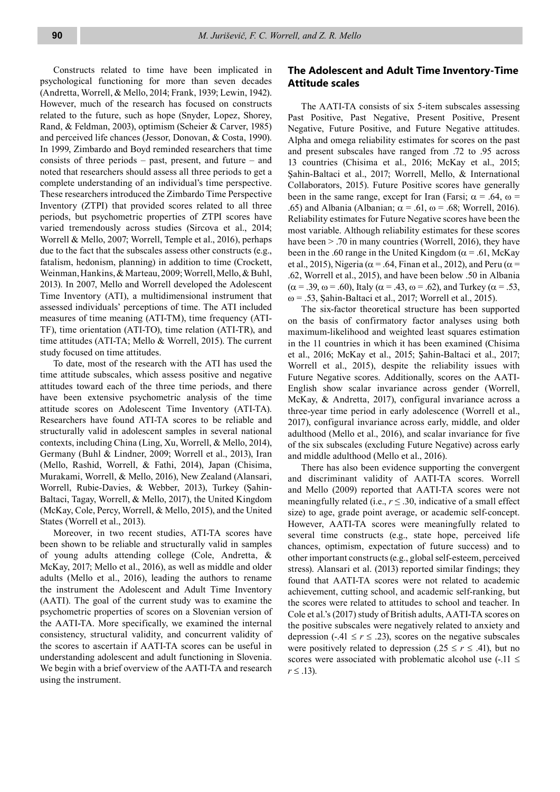Constructs related to time have been implicated in psychological functioning for more than seven decades (Andretta, Worrell, & Mello, 2014; Frank, 1939; Lewin, 1942). However, much of the research has focused on constructs related to the future, such as hope (Snyder, Lopez, Shorey, Rand, & Feldman, 2003), optimism (Scheier & Carver, 1985) and perceived life chances (Jessor, Donovan, & Costa, 1990). In 1999, Zimbardo and Boyd reminded researchers that time consists of three periods – past, present, and future – and noted that researchers should assess all three periods to get a complete understanding of an individual's time perspective. These researchers introduced the Zimbardo Time Perspective Inventory (ZTPI) that provided scores related to all three periods, but psychometric properties of ZTPI scores have varied tremendously across studies (Sircova et al., 2014; Worrell & Mello, 2007; Worrell, Temple et al., 2016), perhaps due to the fact that the subscales assess other constructs (e.g., fatalism, hedonism, planning) in addition to time (Crockett, Weinman, Hankins, & Marteau, 2009; Worrell, Mello, & Buhl, 2013). In 2007, Mello and Worrell developed the Adolescent Time Inventory (ATI), a multidimensional instrument that assessed individuals' perceptions of time. The ATI included measures of time meaning (ATI-TM), time frequency (ATI-TF), time orientation (ATI-TO), time relation (ATI-TR), and time attitudes (ATI-TA; Mello & Worrell, 2015). The current study focused on time attitudes.

To date, most of the research with the ATI has used the time attitude subscales, which assess positive and negative attitudes toward each of the three time periods, and there have been extensive psychometric analysis of the time attitude scores on Adolescent Time Inventory (ATI-TA). Researchers have found ATI-TA scores to be reliable and structurally valid in adolescent samples in several national contexts, including China (Ling, Xu, Worrell, & Mello, 2014), Germany (Buhl & Lindner, 2009; Worrell et al., 2013), Iran (Mello, Rashid, Worrell, & Fathi, 2014), Japan (Chisima, Murakami, Worrell, & Mello, 2016), New Zealand (Alansari, Worrell, Rubie-Davies, & Webber, 2013), Turkey (Şahin-Baltaci, Tagay, Worrell, & Mello, 2017), the United Kingdom (McKay, Cole, Percy, Worrell, & Mello, 2015), and the United States (Worrell et al., 2013).

Moreover, in two recent studies, ATI-TA scores have been shown to be reliable and structurally valid in samples of young adults attending college (Cole, Andretta, & McKay, 2017; Mello et al., 2016), as well as middle and older adults (Mello et al., 2016), leading the authors to rename the instrument the Adolescent and Adult Time Inventory (AATI). The goal of the current study was to examine the psychometric properties of scores on a Slovenian version of the AATI-TA. More specifically, we examined the internal consistency, structural validity, and concurrent validity of the scores to ascertain if AATI-TA scores can be useful in understanding adolescent and adult functioning in Slovenia. We begin with a brief overview of the AATI-TA and research using the instrument.

# **The Adolescent and Adult Time Inventory-Time Attitude scales**

The AATI-TA consists of six 5-item subscales assessing Past Positive, Past Negative, Present Positive, Present Negative, Future Positive, and Future Negative attitudes. Alpha and omega reliability estimates for scores on the past and present subscales have ranged from .72 to .95 across 13 countries (Chisima et al., 2016; McKay et al., 2015; Şahin-Baltaci et al., 2017; Worrell, Mello, & International Collaborators, 2015). Future Positive scores have generally been in the same range, except for Iran (Farsi;  $\alpha = .64$ ,  $\omega =$ .65) and Albania (Albanian;  $\alpha$  = .61,  $\omega$  = .68; Worrell, 2016). Reliability estimates for Future Negative scores have been the most variable. Although reliability estimates for these scores have been  $> 0.70$  in many countries (Worrell, 2016), they have been in the .60 range in the United Kingdom ( $\alpha$  = .61, McKay et al., 2015), Nigeria ( $\alpha$  = .64, Finan et al., 2012), and Peru ( $\alpha$  = .62, Worrell et al., 2015), and have been below .50 in Albania  $(\alpha = .39, \omega = .60)$ , Italy  $(\alpha = .43, \omega = .62)$ , and Turkey  $(\alpha = .53, \omega = .60)$  $\omega$  = .53, Şahin-Baltaci et al., 2017; Worrell et al., 2015).

The six-factor theoretical structure has been supported on the basis of confirmatory factor analyses using both maximum-likelihood and weighted least squares estimation in the 11 countries in which it has been examined (Chisima et al., 2016; McKay et al., 2015; Şahin-Baltaci et al., 2017; Worrell et al., 2015), despite the reliability issues with Future Negative scores. Additionally, scores on the AATI-English show scalar invariance across gender (Worrell, McKay, & Andretta, 2017), configural invariance across a three-year time period in early adolescence (Worrell et al., 2017), configural invariance across early, middle, and older adulthood (Mello et al., 2016), and scalar invariance for five of the six subscales (excluding Future Negative) across early and middle adulthood (Mello et al., 2016).

There has also been evidence supporting the convergent and discriminant validity of AATI-TA scores. Worrell and Mello (2009) reported that AATI-TA scores were not meaningfully related (i.e.,  $r \leq 0.30$ , indicative of a small effect size) to age, grade point average, or academic self-concept. However, AATI-TA scores were meaningfully related to several time constructs (e.g., state hope, perceived life chances, optimism, expectation of future success) and to other important constructs (e.g., global self-esteem, perceived stress). Alansari et al. (2013) reported similar findings; they found that AATI-TA scores were not related to academic achievement, cutting school, and academic self-ranking, but the scores were related to attitudes to school and teacher. In Cole et al.'s (2017) study of British adults, AATI-TA scores on the positive subscales were negatively related to anxiety and depression (-.41  $\leq r \leq$  .23), scores on the negative subscales were positively related to depression (.25  $\le r \le$  .41), but no scores were associated with problematic alcohol use  $(-.11 \le$ *r* ≤ .13).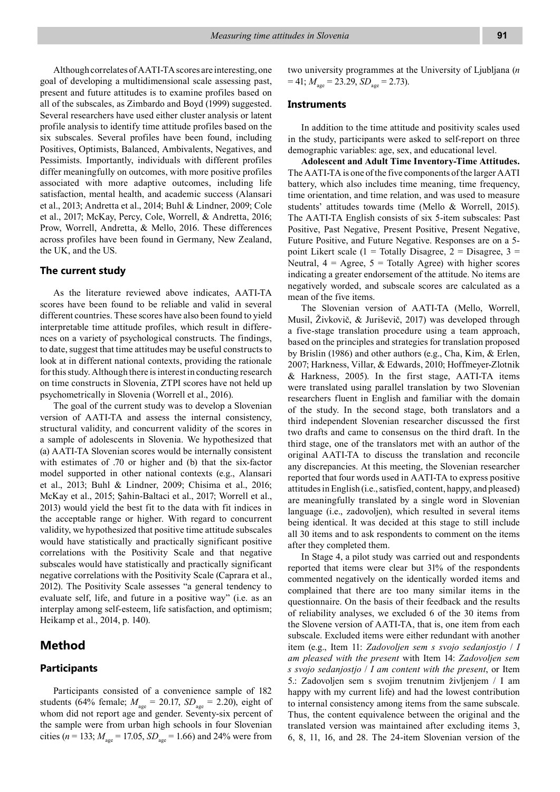Although correlates of AATI-TA scores are interesting, one goal of developing a multidimensional scale assessing past, present and future attitudes is to examine profiles based on all of the subscales, as Zimbardo and Boyd (1999) suggested. Several researchers have used either cluster analysis or latent profile analysis to identify time attitude profiles based on the six subscales. Several profiles have been found, including Positives, Optimists, Balanced, Ambivalents, Negatives, and Pessimists. Importantly, individuals with different profiles differ meaningfully on outcomes, with more positive profiles associated with more adaptive outcomes, including life satisfaction, mental health, and academic success (Alansari et al., 2013; Andretta et al., 2014; Buhl & Lindner, 2009; Cole et al., 2017; McKay, Percy, Cole, Worrell, & Andretta, 2016; Prow, Worrell, Andretta, & Mello, 2016. These differences across profiles have been found in Germany, New Zealand, the UK, and the US.

#### **The current study**

As the literature reviewed above indicates, AATI-TA scores have been found to be reliable and valid in several different countries. These scores have also been found to yield interpretable time attitude profiles, which result in differences on a variety of psychological constructs. The findings, to date, suggest that time attitudes may be useful constructs to look at in different national contexts, providing the rationale for this study. Although there is interest in conducting research on time constructs in Slovenia, ZTPI scores have not held up psychometrically in Slovenia (Worrell et al., 2016).

The goal of the current study was to develop a Slovenian version of AATI-TA and assess the internal consistency, structural validity, and concurrent validity of the scores in a sample of adolescents in Slovenia. We hypothesized that (a) AATI-TA Slovenian scores would be internally consistent with estimates of .70 or higher and (b) that the six-factor model supported in other national contexts (e.g., Alansari et al., 2013; Buhl & Lindner, 2009; Chisima et al., 2016; McKay et al., 2015; Şahin-Baltaci et al., 2017; Worrell et al., 2013) would yield the best fit to the data with fit indices in the acceptable range or higher. With regard to concurrent validity, we hypothesized that positive time attitude subscales would have statistically and practically significant positive correlations with the Positivity Scale and that negative subscales would have statistically and practically significant negative correlations with the Positivity Scale (Caprara et al., 2012). The Positivity Scale assesses "a general tendency to evaluate self, life, and future in a positive way" (i.e. as an interplay among self-esteem, life satisfaction, and optimism; Heikamp et al., 2014, p. 140).

# **Method**

### **Participants**

Participants consisted of a convenience sample of 182 students (64% female;  $M_{\text{age}} = 20.17$ ,  $SD_{\text{age}} = 2.20$ ), eight of whom did not report age and gender. Seventy-six percent of the sample were from urban high schools in four Slovenian cities ( $n = 133$ ;  $M_{\text{age}} = 17.05$ ,  $SD_{\text{age}} = 1.66$ ) and 24% were from

two university programmes at the University of Ljubljana (*n*   $= 41$ ;  $M_{\text{age}} = 23.29$ ,  $SD_{\text{age}} = 2.73$ ).

#### **Instruments**

In addition to the time attitude and positivity scales used in the study, participants were asked to self-report on three demographic variables: age, sex, and educational level.

**Adolescent and Adult Time Inventory-Time Attitudes.** The AATI-TA is one of the five components of the larger AATI battery, which also includes time meaning, time frequency, time orientation, and time relation, and was used to measure students' attitudes towards time (Mello & Worrell, 2015). The AATI-TA English consists of six 5-item subscales: Past Positive, Past Negative, Present Positive, Present Negative, Future Positive, and Future Negative. Responses are on a 5 point Likert scale (1 = Totally Disagree, 2 = Disagree, 3 = Neutral,  $4 = \text{Agree}, 5 = \text{Totally Agree}$  with higher scores indicating a greater endorsement of the attitude. No items are negatively worded, and subscale scores are calculated as a mean of the five items.

The Slovenian version of AATI-TA (Mello, Worrell, Musil, Živkovič, & Juriševič, 2017) was developed through a five-stage translation procedure using a team approach, based on the principles and strategies for translation proposed by Brislin (1986) and other authors (e.g., Cha, Kim, & Erlen, 2007; Harkness, Villar, & Edwards, 2010; Hoffmeyer-Zlotnik & Harkness, 2005). In the first stage, AATI-TA items were translated using parallel translation by two Slovenian researchers fluent in English and familiar with the domain of the study. In the second stage, both translators and a third independent Slovenian researcher discussed the first two drafts and came to consensus on the third draft. In the third stage, one of the translators met with an author of the original AATI-TA to discuss the translation and reconcile any discrepancies. At this meeting, the Slovenian researcher reported that four words used in AATI-TA to express positive attitudes in English (i.e., satisfied, content, happy, and pleased) are meaningfully translated by a single word in Slovenian language (i.e., zadovoljen), which resulted in several items being identical. It was decided at this stage to still include all 30 items and to ask respondents to comment on the items after they completed them.

In Stage 4, a pilot study was carried out and respondents reported that items were clear but 31% of the respondents commented negatively on the identically worded items and complained that there are too many similar items in the questionnaire. On the basis of their feedback and the results of reliability analyses, we excluded 6 of the 30 items from the Slovene version of AATI-TA, that is, one item from each subscale. Excluded items were either redundant with another item (e.g., Item 11: *Zadovoljen sem s svojo sedanjostjo* / *I am pleased with the present* with Item 14: *Zadovoljen sem s svojo sedanjostjo* / *I am content with the present*, or Item 5.: Zadovoljen sem s svojim trenutnim življenjem / I am happy with my current life) and had the lowest contribution to internal consistency among items from the same subscale. Thus, the content equivalence between the original and the translated version was maintained after excluding items 3, 6, 8, 11, 16, and 28. The 24-item Slovenian version of the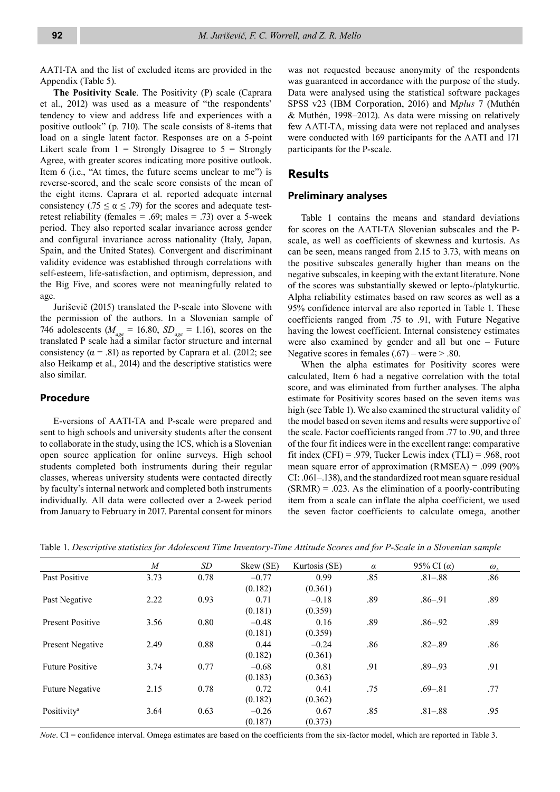AATI-TA and the list of excluded items are provided in the Appendix (Table 5).

**The Positivity Scale**. The Positivity (P) scale (Caprara et al., 2012) was used as a measure of "the respondents' tendency to view and address life and experiences with a positive outlook" (p. 710). The scale consists of 8-items that load on a single latent factor. Responses are on a 5-point Likert scale from  $1 =$  Strongly Disagree to  $5 =$  Strongly Agree, with greater scores indicating more positive outlook. Item 6 (i.e., "At times, the future seems unclear to me") is reverse-scored, and the scale score consists of the mean of the eight items. Caprara et al. reported adequate internal consistency (.75  $\leq \alpha \leq$  .79) for the scores and adequate testretest reliability (females = .69; males = .73) over a 5-week period. They also reported scalar invariance across gender and configural invariance across nationality (Italy, Japan, Spain, and the United States). Convergent and discriminant validity evidence was established through correlations with self-esteem, life-satisfaction, and optimism, depression, and the Big Five, and scores were not meaningfully related to age.

Juriševič (2015) translated the P-scale into Slovene with the permission of the authors. In a Slovenian sample of 746 adolescents ( $M_{\text{age}} = 16.80$ ,  $SD_{\text{age}} = 1.16$ ), scores on the translated P scale had a similar factor structure and internal consistency ( $\alpha$  = .81) as reported by Caprara et al. (2012; see also Heikamp et al., 2014) and the descriptive statistics were also similar.

### **Procedure**

E-versions of AATI-TA and P-scale were prepared and sent to high schools and university students after the consent to collaborate in the study, using the 1CS, which is a Slovenian open source application for online surveys. High school students completed both instruments during their regular classes, whereas university students were contacted directly by faculty's internal network and completed both instruments individually. All data were collected over a 2-week period from January to February in 2017. Parental consent for minors was not requested because anonymity of the respondents was guaranteed in accordance with the purpose of the study. Data were analysed using the statistical software packages SPSS v23 (IBM Corporation, 2016) and M*plus* 7 (Muthén & Muthén, 1998–2012). As data were missing on relatively few AATI-TA, missing data were not replaced and analyses were conducted with 169 participants for the AATI and 171 participants for the P-scale.

## **Results**

### **Preliminary analyses**

Table 1 contains the means and standard deviations for scores on the AATI-TA Slovenian subscales and the Pscale, as well as coefficients of skewness and kurtosis. As can be seen, means ranged from 2.15 to 3.73, with means on the positive subscales generally higher than means on the negative subscales, in keeping with the extant literature. None of the scores was substantially skewed or lepto-/platykurtic. Alpha reliability estimates based on raw scores as well as a 95% confidence interval are also reported in Table 1. These coefficients ranged from .75 to .91, with Future Negative having the lowest coefficient. Internal consistency estimates were also examined by gender and all but one – Future Negative scores in females  $(.67)$  – were  $> .80$ .

When the alpha estimates for Positivity scores were calculated, Item 6 had a negative correlation with the total score, and was eliminated from further analyses. The alpha estimate for Positivity scores based on the seven items was high (see Table 1). We also examined the structural validity of the model based on seven items and results were supportive of the scale. Factor coefficients ranged from .77 to .90, and three of the four fit indices were in the excellent range: comparative fit index  $(CFI) = .979$ , Tucker Lewis index  $(TLI) = .968$ , root mean square error of approximation (RMSEA) = .099 (90% CI: .061–.138), and the standardized root mean square residual  $(SRMR) = .023$ . As the elimination of a poorly-contributing item from a scale can inflate the alpha coefficient, we used the seven factor coefficients to calculate omega, another

|  |  |  |  |  | Table 1. Descriptive statistics for Adolescent Time Inventory-Time Attitude Scores and for P-Scale in a Slovenian sample |  |  |  |
|--|--|--|--|--|--------------------------------------------------------------------------------------------------------------------------|--|--|--|
|--|--|--|--|--|--------------------------------------------------------------------------------------------------------------------------|--|--|--|

|                         | M    | SD.  | Skew (SE) | Kurtosis (SE) | $\alpha$ | 95% CI $(\alpha)$ | $\omega_{\mu}$ |
|-------------------------|------|------|-----------|---------------|----------|-------------------|----------------|
| Past Positive           | 3.73 | 0.78 | $-0.77$   | 0.99          | .85      | $.81 - .88$       | .86            |
|                         |      |      | (0.182)   | (0.361)       |          |                   |                |
| Past Negative           | 2.22 | 0.93 | 0.71      | $-0.18$       | .89      | $.86 - .91$       | .89            |
|                         |      |      | (0.181)   | (0.359)       |          |                   |                |
| <b>Present Positive</b> | 3.56 | 0.80 | $-0.48$   | 0.16          | .89      | $.86 - .92$       | .89            |
|                         |      |      | (0.181)   | (0.359)       |          |                   |                |
| Present Negative        | 2.49 | 0.88 | 0.44      | $-0.24$       | .86      | $.82 - .89$       | .86            |
|                         |      |      | (0.182)   | (0.361)       |          |                   |                |
| <b>Future Positive</b>  | 3.74 | 0.77 | $-0.68$   | 0.81          | .91      | $.89 - .93$       | .91            |
|                         |      |      | (0.183)   | (0.363)       |          |                   |                |
| <b>Future Negative</b>  | 2.15 | 0.78 | 0.72      | 0.41          | .75      | $.69 - .81$       | .77            |
|                         |      |      | (0.182)   | (0.362)       |          |                   |                |
| Positivity <sup>a</sup> | 3.64 | 0.63 | $-0.26$   | 0.67          | .85      | $.81 - .88$       | .95            |
|                         |      |      | (0.187)   | (0.373)       |          |                   |                |

*Note*. CI = confidence interval. Omega estimates are based on the coefficients from the six-factor model, which are reported in Table 3.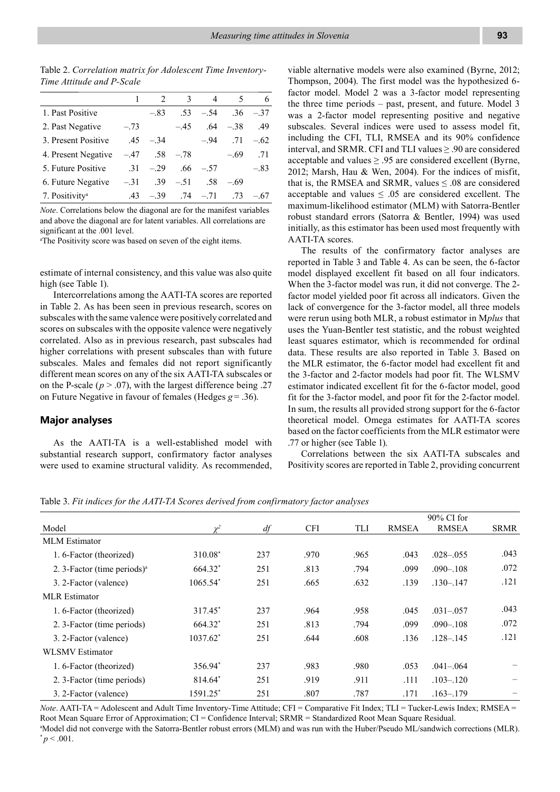Table 2. *Correlation matrix for Adolescent Time Inventory-Time Attitude and P-Scale*

|                            |        | $\mathcal{D}_{\mathcal{L}}$ | $\mathbf{3}$ | 4      | 5      | 6      |
|----------------------------|--------|-----------------------------|--------------|--------|--------|--------|
| 1. Past Positive           |        | $-.83$                      | .53          | $-.54$ | .36    | $-.37$ |
| 2. Past Negative           | $-.73$ |                             | $-.45$       | .64    | $-.38$ | .49    |
| 3. Present Positive        |        | $.45 - .34$                 |              | $-.94$ | .71    | $-.62$ |
| 4. Present Negative        | $-.47$ | .58                         | $-.78$       |        | $-.69$ | .71    |
| 5. Future Positive         |        | $.31 - .29$                 | .66          | $-.57$ |        | $-.83$ |
| 6. Future Negative         | $-.31$ | .39                         | $-.51$       | .58    | $-.69$ |        |
| 7. Positivity <sup>a</sup> | .43    | $-.39$                      | $.74 - .71$  |        | .73    | $-.67$ |

*Note*. Correlations below the diagonal are for the manifest variables and above the diagonal are for latent variables. All correlations are significant at the .001 level.

<sup>a</sup>The Positivity score was based on seven of the eight items.

estimate of internal consistency, and this value was also quite high (see Table 1).

Intercorrelations among the AATI-TA scores are reported in Table 2. As has been seen in previous research, scores on subscales with the same valence were positively correlated and scores on subscales with the opposite valence were negatively correlated. Also as in previous research, past subscales had higher correlations with present subscales than with future subscales. Males and females did not report significantly different mean scores on any of the six AATI-TA subscales or on the P-scale ( $p > .07$ ), with the largest difference being .27 on Future Negative in favour of females (Hedges  $g = .36$ ).

### **Major analyses**

As the AATI-TA is a well-established model with substantial research support, confirmatory factor analyses were used to examine structural validity. As recommended, viable alternative models were also examined (Byrne, 2012; Thompson, 2004). The first model was the hypothesized 6 factor model. Model 2 was a 3-factor model representing the three time periods – past, present, and future. Model 3 was a 2-factor model representing positive and negative subscales. Several indices were used to assess model fit, including the CFI, TLI, RMSEA and its 90% confidence interval, and SRMR. CFI and TLI values ≥ .90 are considered acceptable and values  $\geq$  .95 are considered excellent (Byrne, 2012; Marsh, Hau & Wen, 2004). For the indices of misfit, that is, the RMSEA and SRMR, values  $\leq .08$  are considered acceptable and values  $\leq .05$  are considered excellent. The maximum-likelihood estimator (MLM) with Satorra-Bentler robust standard errors (Satorra & Bentler, 1994) was used initially, as this estimator has been used most frequently with AATI-TA scores.

The results of the confirmatory factor analyses are reported in Table 3 and Table 4. As can be seen, the 6-factor model displayed excellent fit based on all four indicators. When the 3-factor model was run, it did not converge. The 2 factor model yielded poor fit across all indicators. Given the lack of convergence for the 3-factor model, all three models were rerun using both MLR, a robust estimator in M*plus* that uses the Yuan-Bentler test statistic, and the robust weighted least squares estimator, which is recommended for ordinal data. These results are also reported in Table 3. Based on the MLR estimator, the 6-factor model had excellent fit and the 3-factor and 2-factor models had poor fit. The WLSMV estimator indicated excellent fit for the 6-factor model, good fit for the 3-factor model, and poor fit for the 2-factor model. In sum, the results all provided strong support for the 6-factor theoretical model. Omega estimates for AATI-TA scores based on the factor coefficients from the MLR estimator were .77 or higher (see Table 1).

Correlations between the six AATI-TA subscales and Positivity scores are reported in Table 2, providing concurrent

Table 3. *Fit indices for the AATI-TA Scores derived from confirmatory factor analyses*

|                                         |             |     |            |      |              | $90\%$ CI for |             |
|-----------------------------------------|-------------|-----|------------|------|--------------|---------------|-------------|
| Model                                   | $\chi^2$    | df  | <b>CFI</b> | TLI  | <b>RMSEA</b> | <b>RMSEA</b>  | <b>SRMR</b> |
| <b>MLM</b> Estimator                    |             |     |            |      |              |               |             |
| 1.6-Factor (theorized)                  | 310.08*     | 237 | .970       | .965 | .043         | $.028 - .055$ | .043        |
| 2. 3-Factor (time periods) <sup>a</sup> | 664.32*     | 251 | .813       | .794 | .099         | $.090 - .108$ | .072        |
| 3. 2-Factor (valence)                   | 1065.54*    | 251 | .665       | .632 | .139         | $.130 - .147$ | .121        |
| MLR Estimator                           |             |     |            |      |              |               |             |
| 1.6-Factor (theorized)                  | 317.45*     | 237 | .964       | .958 | .045         | $.031 - .057$ | .043        |
| 2. 3-Factor (time periods)              | 664.32*     | 251 | .813       | .794 | .099         | $.090 - .108$ | .072        |
| 3. 2-Factor (valence)                   | $1037.62^*$ | 251 | .644       | .608 | .136         | $.128 - .145$ | .121        |
| WLSMV Estimator                         |             |     |            |      |              |               |             |
| 1.6-Factor (theorized)                  | 356.94*     | 237 | .983       | .980 | .053         | $.041 - .064$ |             |
| 2. 3-Factor (time periods)              | 814.64*     | 251 | .919       | .911 | .111         | $.103 - .120$ |             |
| 3. 2-Factor (valence)                   | 1591.25*    | 251 | .807       | .787 | .171         | $.163 - .179$ |             |

*Note*. AATI-TA = Adolescent and Adult Time Inventory-Time Attitude; CFI = Comparative Fit Index; TLI = Tucker-Lewis Index; RMSEA = Root Mean Square Error of Approximation; CI = Confidence Interval; SRMR = Standardized Root Mean Square Residual. a Model did not converge with the Satorra-Bentler robust errors (MLM) and was run with the Huber/Pseudo ML/sandwich corrections (MLR).  $p < .001$ .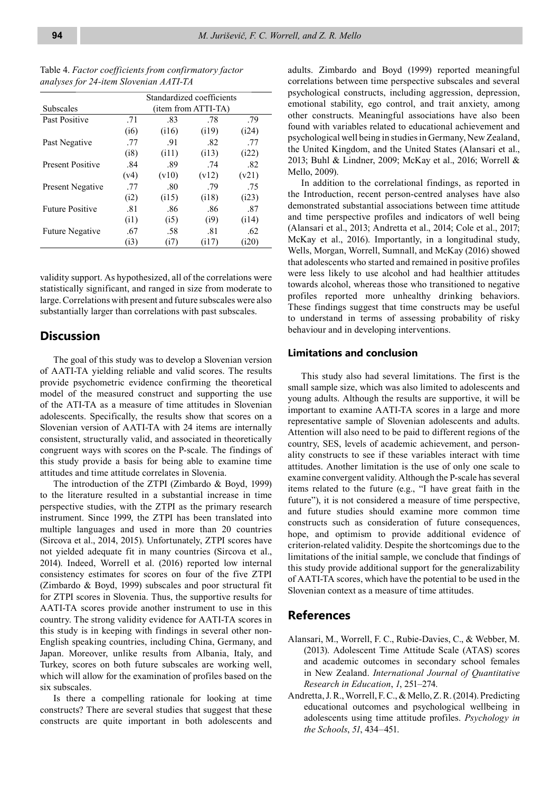|                         | Standardized coefficients |       |       |       |  |  |  |  |
|-------------------------|---------------------------|-------|-------|-------|--|--|--|--|
| Subscales               | (item from ATTI-TA)       |       |       |       |  |  |  |  |
| Past Positive           | .71                       | .83   | .78   | .79   |  |  |  |  |
|                         | (i6)                      | (116) | (i19) | (i24) |  |  |  |  |
| Past Negative           | .77                       | .91   | .82   | .77   |  |  |  |  |
|                         | (i8)                      | (i11) | (113) | (i22) |  |  |  |  |
| <b>Present Positive</b> | .84                       | .89   | .74   | .82   |  |  |  |  |
|                         | (v4)                      | (v10) | (v12) | (v21) |  |  |  |  |
| <b>Present Negative</b> | .77                       | .80   | .79   | .75   |  |  |  |  |
|                         | (i2)                      | (115) | (118) | (i23) |  |  |  |  |
| <b>Future Positive</b>  | .81                       | .86   | .86   | .87   |  |  |  |  |
|                         | (i1)                      | (i5)  | (i9)  | (i14) |  |  |  |  |
| <b>Future Negative</b>  | .67                       | .58   | .81   | .62   |  |  |  |  |
|                         | (i3)                      | (17)  | (117) | (i20) |  |  |  |  |

Table 4. *Factor coefficients from confirmatory factor analyses for 24-item Slovenian AATI-TA*

validity support. As hypothesized, all of the correlations were statistically significant, and ranged in size from moderate to large. Correlations with present and future subscales were also substantially larger than correlations with past subscales.

## **Discussion**

The goal of this study was to develop a Slovenian version of AATI-TA yielding reliable and valid scores. The results provide psychometric evidence confirming the theoretical model of the measured construct and supporting the use of the ATI-TA as a measure of time attitudes in Slovenian adolescents. Specifically, the results show that scores on a Slovenian version of AATI-TA with 24 items are internally consistent, structurally valid, and associated in theoretically congruent ways with scores on the P-scale. The findings of this study provide a basis for being able to examine time attitudes and time attitude correlates in Slovenia.

The introduction of the ZTPI (Zimbardo & Boyd, 1999) to the literature resulted in a substantial increase in time perspective studies, with the ZTPI as the primary research instrument. Since 1999, the ZTPI has been translated into multiple languages and used in more than 20 countries (Sircova et al., 2014, 2015). Unfortunately, ZTPI scores have not yielded adequate fit in many countries (Sircova et al., 2014). Indeed, Worrell et al. (2016) reported low internal consistency estimates for scores on four of the five ZTPI (Zimbardo & Boyd, 1999) subscales and poor structural fit for ZTPI scores in Slovenia. Thus, the supportive results for AATI-TA scores provide another instrument to use in this country. The strong validity evidence for AATI-TA scores in this study is in keeping with findings in several other non-English speaking countries, including China, Germany, and Japan. Moreover, unlike results from Albania, Italy, and Turkey, scores on both future subscales are working well, which will allow for the examination of profiles based on the six subscales.

Is there a compelling rationale for looking at time constructs? There are several studies that suggest that these constructs are quite important in both adolescents and adults. Zimbardo and Boyd (1999) reported meaningful correlations between time perspective subscales and several psychological constructs, including aggression, depression, emotional stability, ego control, and trait anxiety, among other constructs. Meaningful associations have also been found with variables related to educational achievement and psychological well being in studies in Germany, New Zealand, the United Kingdom, and the United States (Alansari et al., 2013; Buhl & Lindner, 2009; McKay et al., 2016; Worrell & Mello, 2009).

In addition to the correlational findings, as reported in the Introduction, recent person-centred analyses have also demonstrated substantial associations between time attitude and time perspective profiles and indicators of well being (Alansari et al., 2013; Andretta et al., 2014; Cole et al., 2017; McKay et al., 2016). Importantly, in a longitudinal study, Wells, Morgan, Worrell, Sumnall, and McKay (2016) showed that adolescents who started and remained in positive profiles were less likely to use alcohol and had healthier attitudes towards alcohol, whereas those who transitioned to negative profiles reported more unhealthy drinking behaviors. These findings suggest that time constructs may be useful to understand in terms of assessing probability of risky behaviour and in developing interventions.

#### **Limitations and conclusion**

This study also had several limitations. The first is the small sample size, which was also limited to adolescents and young adults. Although the results are supportive, it will be important to examine AATI-TA scores in a large and more representative sample of Slovenian adolescents and adults. Attention will also need to be paid to different regions of the country, SES, levels of academic achievement, and personality constructs to see if these variables interact with time attitudes. Another limitation is the use of only one scale to examine convergent validity. Although the P-scale has several items related to the future (e.g., "I have great faith in the future"), it is not considered a measure of time perspective, and future studies should examine more common time constructs such as consideration of future consequences, hope, and optimism to provide additional evidence of criterion-related validity. Despite the shortcomings due to the limitations of the initial sample, we conclude that findings of this study provide additional support for the generalizability of AATI-TA scores, which have the potential to be used in the Slovenian context as a measure of time attitudes.

# **References**

- Alansari, M., Worrell, F. C., Rubie-Davies, C., & Webber, M. (2013). Adolescent Time Attitude Scale (ATAS) scores and academic outcomes in secondary school females in New Zealand. *International Journal of Quantitative Research in Education*, *1*, 251–274.
- Andretta, J. R., Worrell, F. C., & Mello, Z. R. (2014). Predicting educational outcomes and psychological wellbeing in adolescents using time attitude profiles. *Psychology in the Schools*, *51*, 434–451.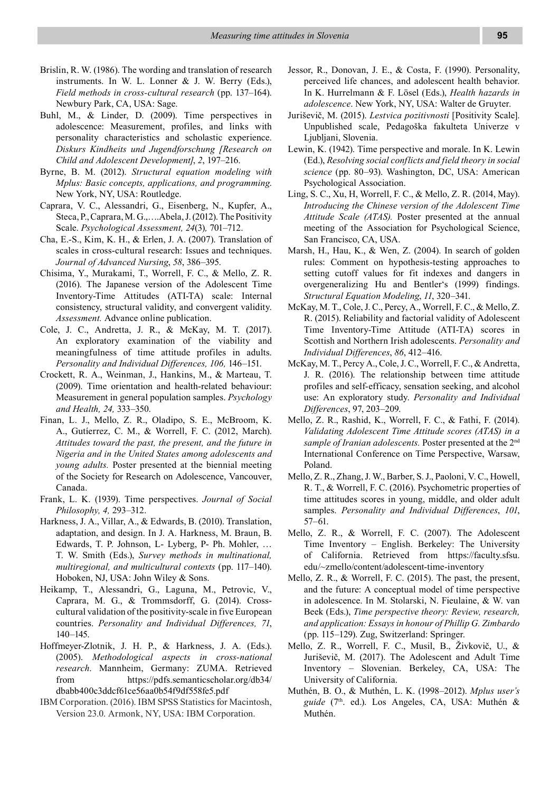- Brislin, R. W. (1986). The wording and translation of research instruments. In W. L. Lonner & J. W. Berry (Eds.), *Field methods in cross-cultural research* (pp. 137–164). Newbury Park, CA, USA: Sage.
- Buhl, M., & Linder, D. (2009). Time perspectives in adolescence: Measurement, profiles, and links with personality characteristics and scholastic experience. *Diskurs Kindheits und Jugendforschung [Research on Child and Adolescent Development]*, *2*, 197–216.
- Byrne, B. M. (2012). *Structural equation modeling with Mplus: Basic concepts, applications, and programming*. New York, NY, USA: Routledge.
- Caprara, V. C., Alessandri, G., Eisenberg, N., Kupfer, A., Steca, P., Caprara, M. G.,….Abela, J. (2012). The Positivity Scale. *Psychological Assessment, 24*(3)*,* 701–712.
- Cha, E.-S., Kim, K. H., & Erlen, J. A. (2007). Translation of scales in cross-cultural research: Issues and techniques. *Journal of Advanced Nursing*, *58*, 386–395.
- Chisima, Y., Murakami, T., Worrell, F. C., & Mello, Z. R. (2016). The Japanese version of the Adolescent Time Inventory-Time Attitudes (ATI-TA) scale: Internal consistency, structural validity, and convergent validity. *Assessment.* Advance online publication.
- Cole, J. C., Andretta, J. R., & McKay, M. T. (2017). An exploratory examination of the viability and meaningfulness of time attitude profiles in adults. *Personality and Individual Differences, 106,* 146–151.
- Crockett, R. A., Weinman, J., Hankins, M., & Marteau, T. (2009). Time orientation and health-related behaviour: Measurement in general population samples. *Psychology and Health, 24,* 333–350.
- Finan, L. J., Mello, Z. R., Oladipo, S. E., McBroom, K. A., Gutíerrez, C. M., & Worrell, F. C. (2012, March). *Attitudes toward the past, the present, and the future in Nigeria and in the United States among adolescents and young adults.* Poster presented at the biennial meeting of the Society for Research on Adolescence, Vancouver, Canada.
- Frank, L. K. (1939). Time perspectives. *Journal of Social Philosophy, 4,* 293–312.
- Harkness, J. A., Villar, A., & Edwards, B. (2010). Translation, adaptation, and design. In J. A. Harkness, M. Braun, B. Edwards, T. P. Johnson, L- Lyberg, P- Ph. Mohler, … T. W. Smith (Eds.), *Survey methods in multinational, multiregional, and multicultural contexts* (pp. 117–140). Hoboken, NJ, USA: John Wiley & Sons.
- Heikamp, T., Alessandri, G., Laguna, M., Petrovic, V., Caprara, M. G., & Trommsdorff, G. (2014). Crosscultural validation of the positivity-scale in five European countries. *Personality and Individual Differences, 71*, 140–145.
- Hoffmeyer-Zlotnik, J. H. P., & Harkness, J. A. (Eds.). (2005). *Methodological aspects in cross-national research*. Mannheim, Germany: ZUMA. Retrieved from https://pdfs.semanticscholar.org/db34/ dbabb400c3ddcf61ce56aa0b54f9df558fe5.pdf
- IBM Corporation. (2016). IBM SPSS Statistics for Macintosh, Version 23.0. Armonk, NY, USA: IBM Corporation.
- Jessor, R., Donovan, J. E., & Costa, F. (1990). Personality, perceived life chances, and adolescent health behavior. In K. Hurrelmann & F. Lösel (Eds.), *Health hazards in adolescence*. New York, NY, USA: Walter de Gruyter.
- Juriševič, M. (2015). *Lestvica pozitivnosti* [Positivity Scale]. Unpublished scale, Pedagoška fakulteta Univerze v Ljubljani, Slovenia.
- Lewin, K. (1942). Time perspective and morale. In K. Lewin (Ed.), *Resolving social conflicts and field theory in social science* (pp. 80–93). Washington, DC, USA: American Psychological Association.
- Ling, S. C., Xu, H, Worrell, F. C., & Mello, Z. R. (2014, May). *Introducing the Chinese version of the Adolescent Time Attitude Scale (ATAS).* Poster presented at the annual meeting of the Association for Psychological Science, San Francisco, CA, USA.
- Marsh, H., Hau, K., & Wen, Z. (2004). In search of golden rules: Comment on hypothesis-testing approaches to setting cutoff values for fit indexes and dangers in overgeneralizing Hu and Bentler's (1999) findings. *Structural Equation Modeling*, *11*, 320–341.
- McKay, M. T., Cole, J. C., Percy, A., Worrell, F. C., & Mello, Z. R. (2015). Reliability and factorial validity of Adolescent Time Inventory-Time Attitude (ATI-TA) scores in Scottish and Northern Irish adolescents. *Personality and Individual Differences*, *86*, 412–416.
- McKay, M. T., Percy A., Cole, J. C., Worrell, F. C., & Andretta, J. R. (2016). The relationship between time attitude profiles and self-efficacy, sensation seeking, and alcohol use: An exploratory study. *Personality and Individual Differences*, 97, 203–209.
- Mello, Z. R., Rashid, K., Worrell, F. C., & Fathi, F. (2014). *Validating Adolescent Time Attitude scores (ATAS) in a sample of Iranian adolescents.* Poster presented at the 2nd International Conference on Time Perspective, Warsaw, Poland.
- Mello, Z. R., Zhang, J. W., Barber, S. J., Paoloni, V. C., Howell, R. T., & Worrell, F. C. (2016). Psychometric properties of time attitudes scores in young, middle, and older adult samples. *Personality and Individual Differences*, *101*, 57–61.
- Mello, Z. R., & Worrell, F. C. (2007). The Adolescent Time Inventory – English. Berkeley: The University of California. Retrieved from https://faculty.sfsu. edu/~zmello/content/adolescent-time-inventory
- Mello, Z. R., & Worrell, F. C. (2015). The past, the present, and the future: A conceptual model of time perspective in adolescence. In M. Stolarski, N. Fieulaine, & W. van Beek (Eds.), *Time perspective theory: Review, research, and application: Essays in honour of Phillip G. Zimbardo* (pp. 115–129). Zug, Switzerland: Springer.
- Mello, Z. R., Worrell, F. C., Musil, B., Živkovič, U., & Juriševič, M. (2017). The Adolescent and Adult Time Inventory – Slovenian. Berkeley, CA, USA: The University of California.
- Muthén, B. O., & Muthén, L. K. (1998–2012). *Mplus user's*  guide (7<sup>th</sup>. ed.). Los Angeles, CA, USA: Muthén & Muthén.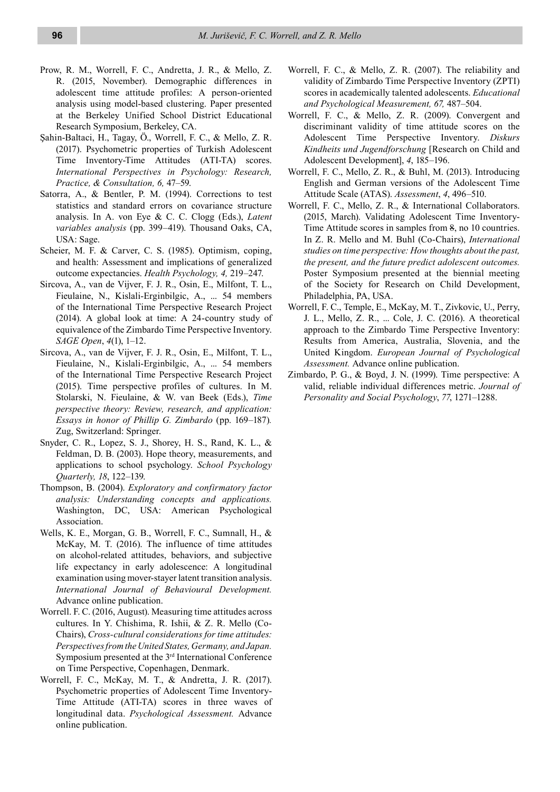- Prow, R. M., Worrell, F. C., Andretta, J. R., & Mello, Z. R. (2015, November). Demographic differences in adolescent time attitude profiles: A person-oriented analysis using model-based clustering. Paper presented at the Berkeley Unified School District Educational Research Symposium, Berkeley, CA.
- Şahin-Baltaci, H., Tagay, Ö., Worrell, F. C., & Mello, Z. R. (2017). Psychometric properties of Turkish Adolescent Time Inventory-Time Attitudes (ATI-TA) scores. *International Perspectives in Psychology: Research, Practice, & Consultation, 6,* 47–59.
- Satorra, A., & Bentler, P. M. (1994). Corrections to test statistics and standard errors on covariance structure analysis. In A. von Eye & C. C. Clogg (Eds.), *Latent variables analysis* (pp. 399–419). Thousand Oaks, CA, USA: Sage.
- Scheier, M. F. & Carver, C. S. (1985). Optimism, coping, and health: Assessment and implications of generalized outcome expectancies. *Health Psychology, 4,* 219–247.
- Sircova, A., van de Vijver, F. J. R., Osin, E., Milfont, T. L., Fieulaine, N., Kislali-Erginbilgic, A., ... 54 members of the International Time Perspective Research Project (2014). A global look at time: A 24-country study of equivalence of the Zimbardo Time Perspective Inventory. *SAGE Open*, *4*(1), 1–12.
- Sircova, A., van de Vijver, F. J. R., Osin, E., Milfont, T. L., Fieulaine, N., Kislali-Erginbilgic, A., ... 54 members of the International Time Perspective Research Project (2015). Time perspective profiles of cultures. In M. Stolarski, N. Fieulaine, & W. van Beek (Eds.), *Time perspective theory: Review, research, and application: Essays in honor of Phillip G. Zimbardo* (pp. 169–187)*.* Zug, Switzerland: Springer.
- Snyder, C. R., Lopez, S. J., Shorey, H. S., Rand, K. L., & Feldman, D. B. (2003). Hope theory, measurements, and applications to school psychology. *School Psychology Quarterly, 18*, 122–139.
- Thompson, B. (2004). *Exploratory and confirmatory factor analysis: Understanding concepts and applications.* Washington, DC, USA: American Psychological Association.
- Wells, K. E., Morgan, G. B., Worrell, F. C., Sumnall, H., & McKay, M. T. (2016). The influence of time attitudes on alcohol-related attitudes, behaviors, and subjective life expectancy in early adolescence: A longitudinal examination using mover-stayer latent transition analysis. *International Journal of Behavioural Development.*  Advance online publication.
- Worrell. F. C. (2016, August). Measuring time attitudes across cultures. In Y. Chishima, R. Ishii, & Z. R. Mello (Co-Chairs), *Cross-cultural considerations for time attitudes: Perspectives from the United States, Germany, and Japan.* Symposium presented at the 3rd International Conference on Time Perspective, Copenhagen, Denmark.
- Worrell, F. C., McKay, M. T., & Andretta, J. R. (2017). Psychometric properties of Adolescent Time Inventory-Time Attitude (ATI-TA) scores in three waves of longitudinal data. *Psychological Assessment.* Advance online publication.
- Worrell, F. C., & Mello, Z. R. (2007). The reliability and validity of Zimbardo Time Perspective Inventory (ZPTI) scores in academically talented adolescents. *Educational and Psychological Measurement, 67,* 487–504.
- Worrell, F. C., & Mello, Z. R. (2009). Convergent and discriminant validity of time attitude scores on the Adolescent Time Perspective Inventory. *Diskurs Kindheits und Jugendforschung* [Research on Child and Adolescent Development], *4*, 185–196.
- Worrell, F. C., Mello, Z. R., & Buhl, M. (2013). Introducing English and German versions of the Adolescent Time Attitude Scale (ATAS). *Assessment*, *4*, 496–510.
- Worrell, F. C., Mello, Z. R., & International Collaborators. (2015, March). Validating Adolescent Time Inventory-Time Attitude scores in samples from 8, no 10 countries. In Z. R. Mello and M. Buhl (Co-Chairs), *International studies on time perspective: How thoughts about the past, the present, and the future predict adolescent outcomes.* Poster Symposium presented at the biennial meeting of the Society for Research on Child Development, Philadelphia, PA, USA.
- Worrell, F. C., Temple, E., McKay, M. T., Zivkovic, U., Perry, J. L., Mello, Z. R., ... Cole, J. C. (2016). A theoretical approach to the Zimbardo Time Perspective Inventory: Results from America, Australia, Slovenia, and the United Kingdom. *European Journal of Psychological Assessment.* Advance online publication.
- Zimbardo, P. G., & Boyd, J. N. (1999). Time perspective: A valid, reliable individual differences metric. *Journal of Personality and Social Psychology*, *77*, 1271–1288.